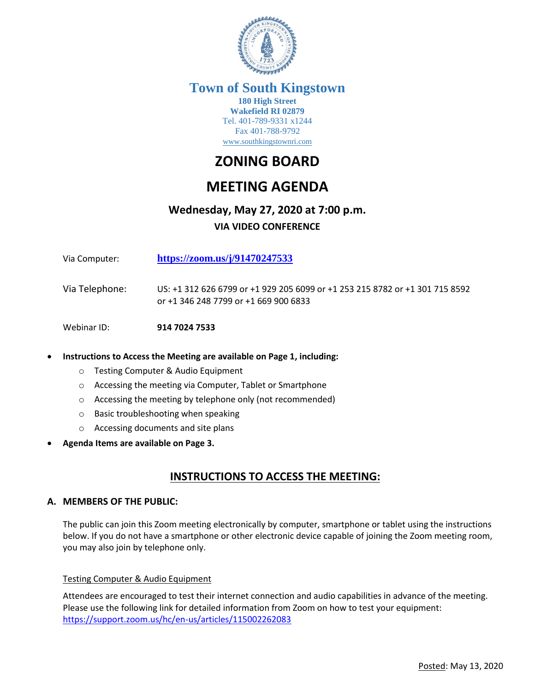

# **Town of South Kingstown**

**180 High Street Wakefield RI 02879** Tel. 401-789-9331 x1244 Fax 401-788-9792 [www.southkingstownri.com](http://www.southkingstownri.com/)

# **ZONING BOARD**

# **MEETING AGENDA**

## **Wednesday, May 27, 2020 at 7:00 p.m.**

### **VIA VIDEO CONFERENCE**

Via Computer: **<https://zoom.us/j/91470247533>**

Via Telephone: US: +1 312 626 6799 or +1 929 205 6099 or +1 253 215 8782 or +1 301 715 8592 or +1 346 248 7799 or +1 669 900 6833

Webinar ID: **914 7024 7533**

#### **Instructions to Access the Meeting are available on Page 1, including:**

- o Testing Computer & Audio Equipment
- o Accessing the meeting via Computer, Tablet or Smartphone
- o Accessing the meeting by telephone only (not recommended)
- o Basic troubleshooting when speaking
- o Accessing documents and site plans
- **Agenda Items are available on Page 3.**

## **INSTRUCTIONS TO ACCESS THE MEETING:**

#### **A. MEMBERS OF THE PUBLIC:**

The public can join this Zoom meeting electronically by computer, smartphone or tablet using the instructions below. If you do not have a smartphone or other electronic device capable of joining the Zoom meeting room, you may also join by telephone only.

#### Testing Computer & Audio Equipment

Attendees are encouraged to test their internet connection and audio capabilities in advance of the meeting. Please use the following link for detailed information from Zoom on how to test your equipment: <https://support.zoom.us/hc/en-us/articles/115002262083>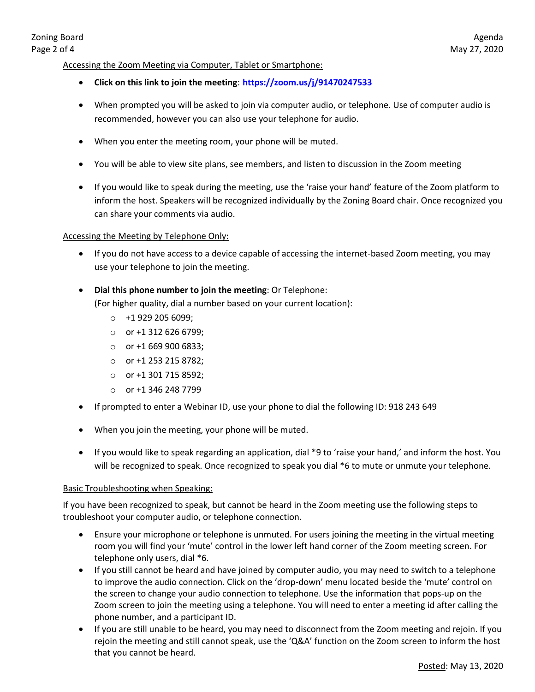#### Accessing the Zoom Meeting via Computer, Tablet or Smartphone:

- **Click on this link to join the meeting**: **<https://zoom.us/j/91470247533>**
- When prompted you will be asked to join via computer audio, or telephone. Use of computer audio is recommended, however you can also use your telephone for audio.
- When you enter the meeting room, your phone will be muted.
- You will be able to view site plans, see members, and listen to discussion in the Zoom meeting
- If you would like to speak during the meeting, use the 'raise your hand' feature of the Zoom platform to inform the host. Speakers will be recognized individually by the Zoning Board chair. Once recognized you can share your comments via audio.

#### Accessing the Meeting by Telephone Only:

- If you do not have access to a device capable of accessing the internet-based Zoom meeting, you may use your telephone to join the meeting.
- **Dial this phone number to join the meeting**: Or Telephone: (For higher quality, dial a number based on your current location):
	- $\circ$  +1 929 205 6099;
	- $\circ$  or +1 312 626 6799;
	- $\circ$  or +1 669 900 6833;
	- o or +1 253 215 8782;
	- o or +1 301 715 8592;
	- o or +1 346 248 7799
- If prompted to enter a Webinar ID, use your phone to dial the following ID: 918 243 649
- When you join the meeting, your phone will be muted.
- If you would like to speak regarding an application, dial \*9 to 'raise your hand,' and inform the host. You will be recognized to speak. Once recognized to speak you dial \*6 to mute or unmute your telephone.

#### Basic Troubleshooting when Speaking:

If you have been recognized to speak, but cannot be heard in the Zoom meeting use the following steps to troubleshoot your computer audio, or telephone connection.

- Ensure your microphone or telephone is unmuted. For users joining the meeting in the virtual meeting room you will find your 'mute' control in the lower left hand corner of the Zoom meeting screen. For telephone only users, dial \*6.
- If you still cannot be heard and have joined by computer audio, you may need to switch to a telephone to improve the audio connection. Click on the 'drop-down' menu located beside the 'mute' control on the screen to change your audio connection to telephone. Use the information that pops-up on the Zoom screen to join the meeting using a telephone. You will need to enter a meeting id after calling the phone number, and a participant ID.
- If you are still unable to be heard, you may need to disconnect from the Zoom meeting and rejoin. If you rejoin the meeting and still cannot speak, use the 'Q&A' function on the Zoom screen to inform the host that you cannot be heard.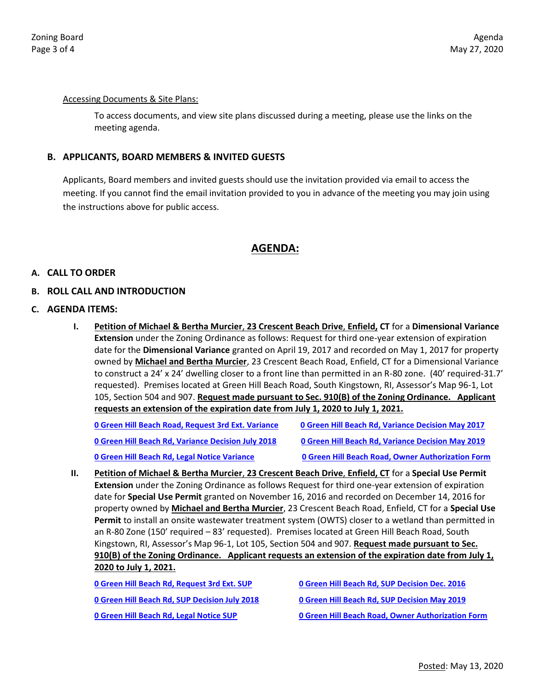#### Accessing Documents & Site Plans:

To access documents, and view site plans discussed during a meeting, please use the links on the meeting agenda.

#### **B. APPLICANTS, BOARD MEMBERS & INVITED GUESTS**

Applicants, Board members and invited guests should use the invitation provided via email to access the meeting. If you cannot find the email invitation provided to you in advance of the meeting you may join using the instructions above for public access.

## **AGENDA:**

#### **A. CALL TO ORDER**

#### **B. ROLL CALL AND INTRODUCTION**

#### **C. AGENDA ITEMS:**

**I. Petition of Michael & Bertha Murcier**, **23 Crescent Beach Drive**, **Enfield, CT** for a **Dimensional Variance Extension** under the Zoning Ordinance as follows: Request for third one-year extension of expiration date for the **Dimensional Variance** granted on April 19, 2017 and recorded on May 1, 2017 for property owned by **Michael and Bertha Murcier**, 23 Crescent Beach Road, Enfield, CT for a Dimensional Variance to construct a 24' x 24' dwelling closer to a front line than permitted in an R-80 zone. (40' required-31.7' requested). Premises located at Green Hill Beach Road, South Kingstown, RI, Assessor's Map 96-1, Lot 105, Section 504 and 907. **Request made pursuant to Sec. 910(B) of the Zoning Ordinance. Applicant requests an extension of the expiration date from July 1, 2020 to July 1, 2021.**

| 0 Green Hill Beach Road, Request 3rd Ext. Variance        | <b>0 Green Hill Beach Rd, Variance Decision May 2017</b> |
|-----------------------------------------------------------|----------------------------------------------------------|
| <b>0 Green Hill Beach Rd, Variance Decision July 2018</b> | <b>0 Green Hill Beach Rd, Variance Decision May 2019</b> |
| 0 Green Hill Beach Rd, Legal Notice Variance              | <b>0 Green Hill Beach Road, Owner Authorization Form</b> |

**II. Petition of Michael & Bertha Murcier**, **23 Crescent Beach Drive**, **Enfield, CT** for a **Special Use Permit Extension** under the Zoning Ordinance as follows Request for third one-year extension of expiration date for **Special Use Permit** granted on November 16, 2016 and recorded on December 14, 2016 for property owned by **Michael and Bertha Murcier**, 23 Crescent Beach Road, Enfield, CT for a **Special Use Permit** to install an onsite wastewater treatment system (OWTS) closer to a wetland than permitted in an R-80 Zone (150' required – 83' requested). Premises located at Green Hill Beach Road, South Kingstown, RI, Assessor's Map 96-1, Lot 105, Section 504 and 907. **Request made pursuant to Sec. 910(B) of the Zoning Ordinance. Applicant requests an extension of the expiration date from July 1, 2020 to July 1, 2021.**

| 0 Green Hill Beach Rd, Request 3rd Ext. SUP   | <b>0 Green Hill Beach Rd, SUP Decision Dec. 2016</b>     |
|-----------------------------------------------|----------------------------------------------------------|
| 0 Green Hill Beach Rd, SUP Decision July 2018 | <b>0 Green Hill Beach Rd, SUP Decision May 2019</b>      |
| 0 Green Hill Beach Rd, Legal Notice SUP       | <b>0 Green Hill Beach Road, Owner Authorization Form</b> |